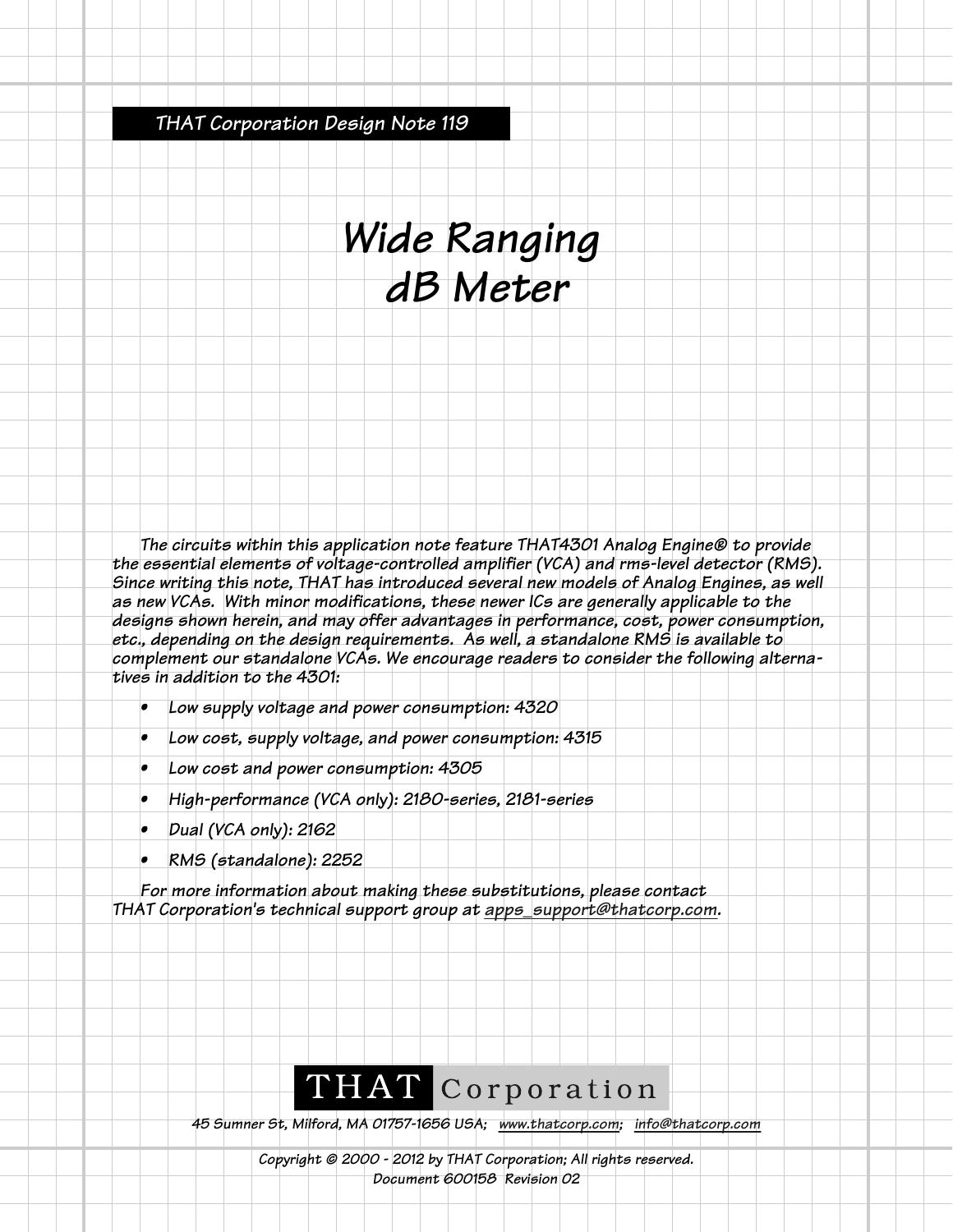*THAT Corporation Design Note 119*

# *Wide Ranging dB Meter*

*The circuits within this application note feature THAT4301 Analog Engine® to provide the essential elements of voltage-controlled amplifier (VCA) and rms-level detector (RMS). Since writing this note, THAT has introduced several new models of Analog Engines, as well as new VCAs. With minor modifications, these newer ICs are generally applicable to the designs shown herein, and may offer advantages in performance, cost, power consumption, etc., depending on the design requirements. As well, a standalone RMS is available to complement our standalone VCAs. We encourage readers to consider the following alternatives in addition to the 4301:*

- *Low supply voltage and power consumption: 4320*
- *Low cost, supply voltage, and power consumption: 4315*
- *Low cost and power consumption: 4305*
- *High-performance (VCA only): 2180-series, 2181-series*
- *Dual (VCA only): 2162*
- *RMS (standalone): 2252*

*For more information about making these substitutions, please contact THAT Corporation's technical support group at apps\_support@thatcorp.com.*

# THAT Corporation

*45 Sumner St, Milford, MA 01757-1656 USA; www.thatcorp.com; info@thatcorp.com*

*Copyright © 2000 - 2012 by THAT Corporation; All rights reserved. Document 600158 Revision 02*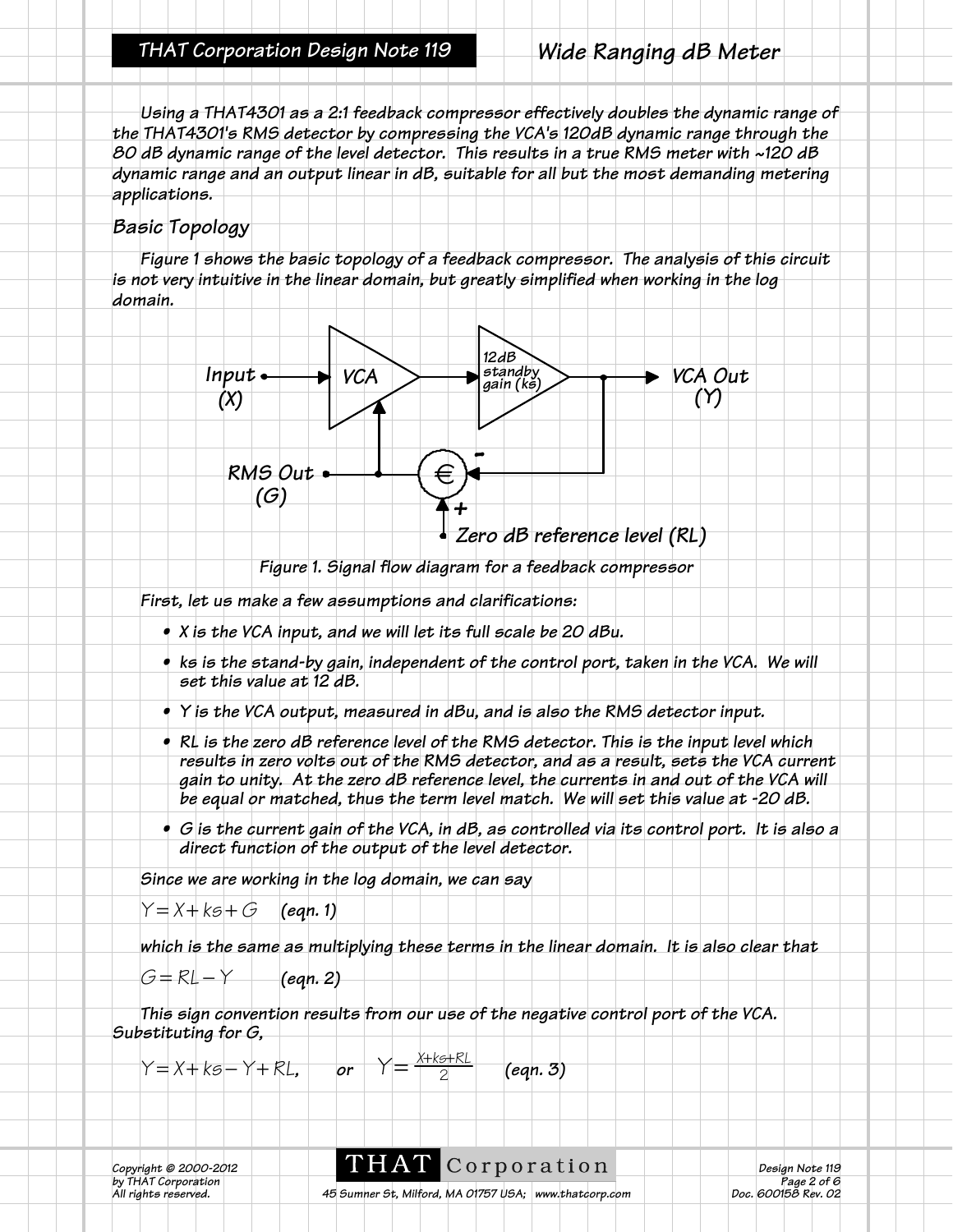*Using a THAT4301 as a 2:1 feedback compressor effectively doubles the dynamic range of the THAT4301's RMS detector by compressing the VCA's 120dB dynamic range through the 80 dB dynamic range of the level detector. This results in a true RMS meter with ~120 dB dynamic range and an output linear in dB, suitable for all but the most demanding metering applications.* 

### *Basic Topology*

*Figure 1 shows the basic topology of a feedback compressor. The analysis of this circuit is not very intuitive in the linear domain, but greatly simplified when working in the log domain.*



*Figure 1. Signal flow diagram for a feedback compressor*

*First, let us make a few assumptions and clarifications:*

- *X is the VCA input, and we will let its full scale be 20 dBu.*
- **•** ks is the stand-by gain, independent of the control port, taken in the VCA. We will *set this value at 12 dB.*
- *Y is the VCA output, measured in dBu, and is also the RMS detector input.*
- *RL is the zero dB reference level of the RMS detector. This is the input level which results in zero volts out of the RMS detector, and as a result, sets the VCA current gain to unity. At the zero dB reference level, the currents in and out of the VCA will be equal or matched, thus the term level match. We will set this value at -20 dB.*
- *G is the current gain of the VCA, in dB, as controlled via its control port. It is also a direct function of the output of the level detector.*

*Since we are working in the log domain, we can say*

 $Y = X + kS + G$  *(eqn. 1)* 

*which is the same as multiplying these terms in the linear domain. It is also clear that*

*G* = *RL* − *Y (eqn. 2)*

*This sign convention results from our use of the negative control port of the VCA. Substituting for G,*

*Y* = *X* + *ks* − *Y* + *RL*, *or Y* =  $\frac{1}{2}$  *(eqn. 3)*  $Y = \frac{X+K5+RL}{2}$ 

*b*y THAT © 2000-2012<br>by THAT Corporation<br>All rights reserved.

**Corporation**<br> *Copyright Copyright Copyright Copyright Design Note 119*<br> *Page 2 of 6*<br> *Doc. 600158 Rev. 02* 

*A5 Sumner St, Milford, MA 01757 USA; www.thatcorp.com*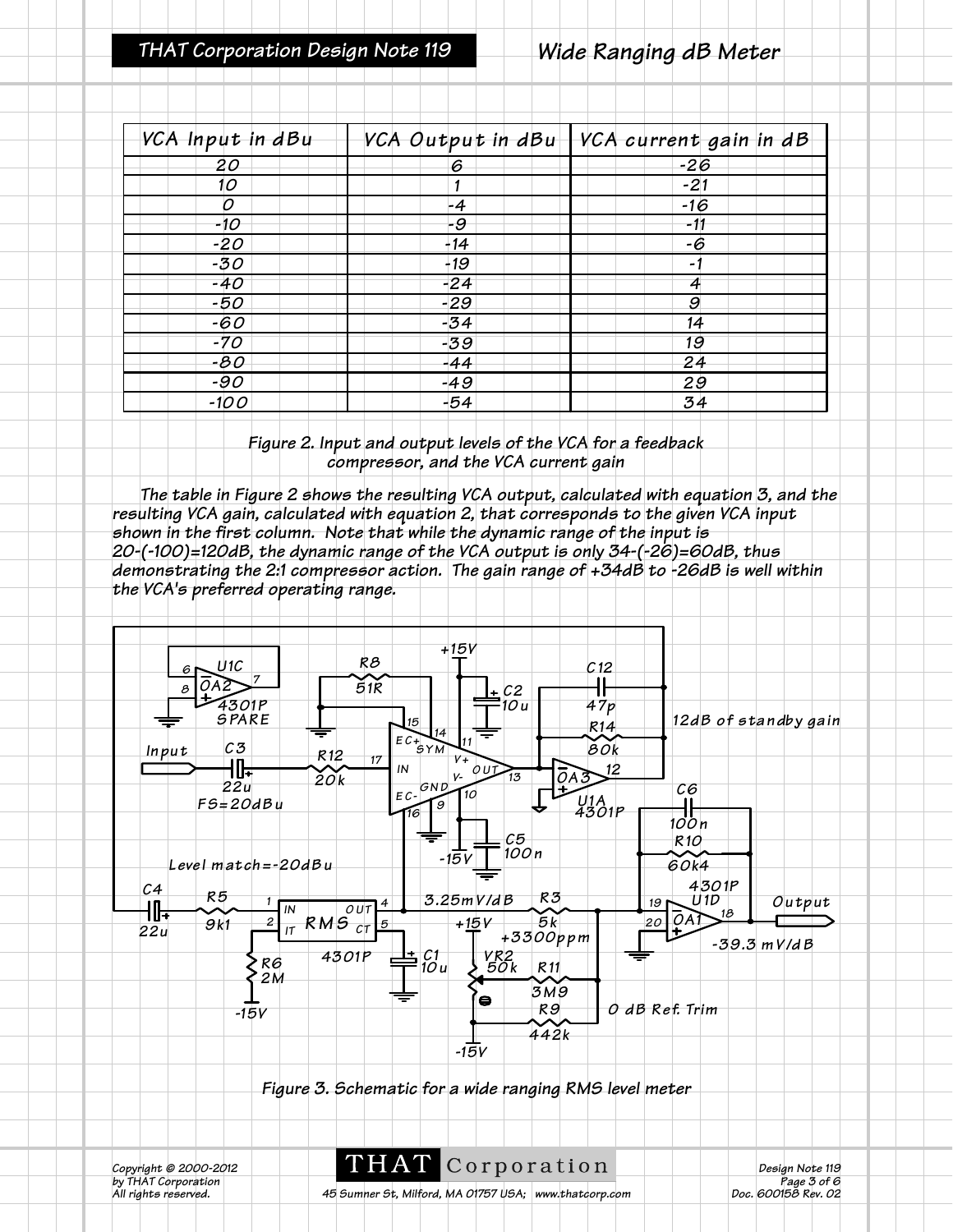| VCA Input in dBu |       | VCA Output in dBu VCA current gain in dB |
|------------------|-------|------------------------------------------|
| 20               | 6     | $-26$                                    |
| 10               | 1     | $-21$                                    |
| 0                | $-4$  | $-16$                                    |
| -10              | -9    | -11                                      |
| $-20$            | $-14$ | -6                                       |
| $-30$            | $-19$ | $\overline{\phantom{a}}$                 |
| -40              | $-24$ | 4                                        |
| -50              | $-29$ | 9                                        |
| $-60$            | $-34$ | 14                                       |
| $-70$            | $-39$ | 19                                       |
| -80              | -44   | 24                                       |
| $-90$            | $-49$ | 29                                       |
| $-100$           | $-54$ | 34                                       |

*Figure 2. Input and output levels of the VCA for a feedback compressor, and the VCA current gain*

*The table in Figure 2 shows the resulting VCA output, calculated with equation 3, and the resulting VCA gain, calculated with equation 2, that corresponds to the given VCA input shown in the first column. Note that while the dynamic range of the input is 20-(-100)=120dB, the dynamic range of the VCA output is only 34-(-26)=60dB, thus demonstrating the 2:1 compressor action. The gain range of +34dB to -26dB is well within the VCA's preferred operating range.*



*Figure 3. Schematic for a wide ranging RMS level meter*

*b*y THAT © 2000-2012<br>by THAT Corporation<br>All rights reserved.

**COPPOTATION**<br> *Page 3 of 6*<br> *Page 3 of 6*<br> *Page 3 of 6*<br> *Page 3 of 6*<br> *Page 3 of 6* 

*A5 Sumner St, Milford, MA 01757 USA; www.thatcorp.com*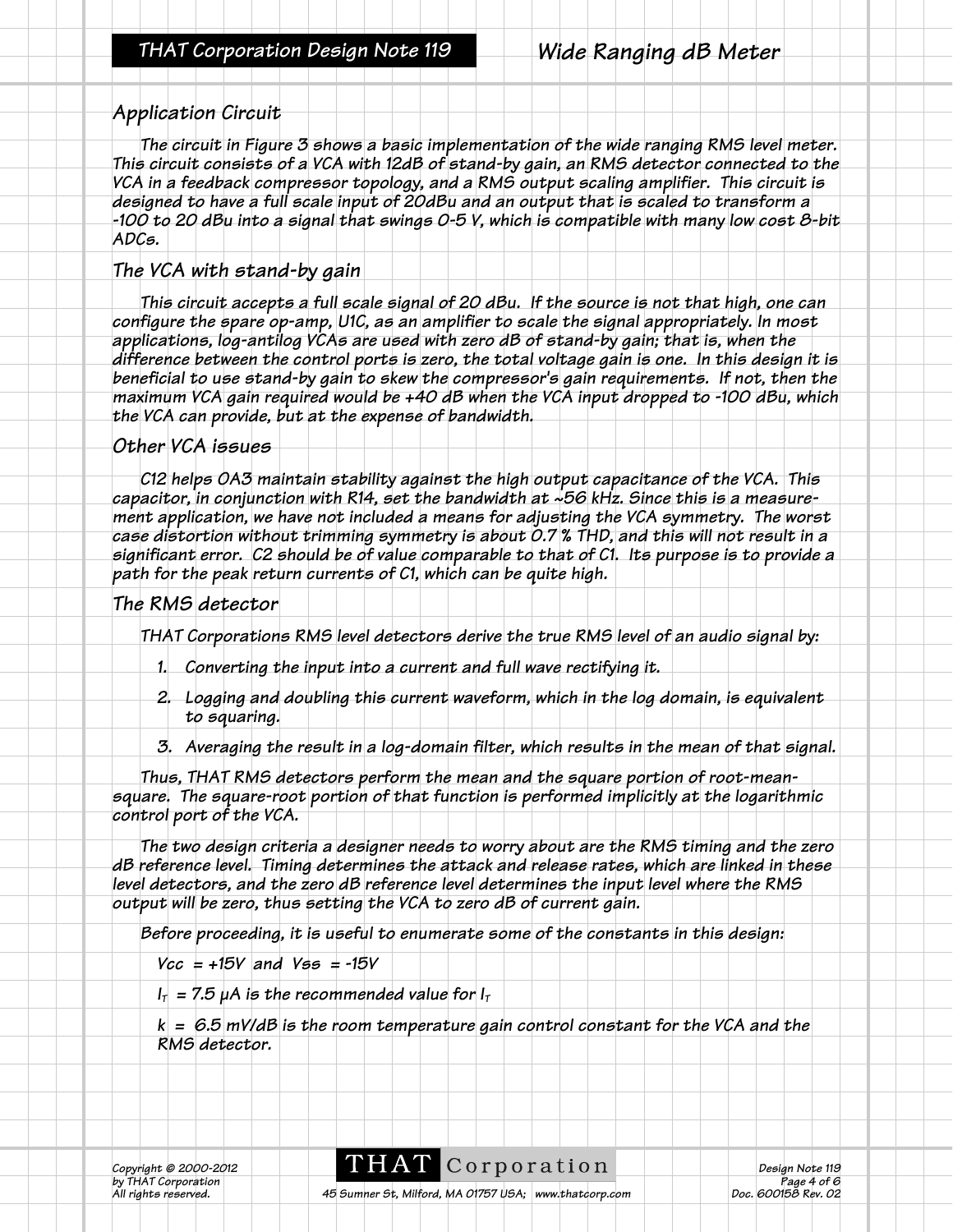#### *Application Circuit*

*The circuit in Figure 3 shows a basic implementation of the wide ranging RMS level meter. This circuit consists of a VCA with 12dB of stand-by gain, an RMS detector connected to the VCA in a feedback compressor topology, and a RMS output scaling amplifier. This circuit is designed to have a full scale input of 20dBu and an output that is scaled to transform a -100 to 20 dBu into a signal that swings 0-5 V, which is compatible with many low cost 8-bit ADCs.*

#### *The VCA with stand-by gain*

*This circuit accepts a full scale signal of 20 dBu. If the source is not that high, one can configure the spare op-amp, U1C, as an amplifier to scale the signal appropriately. In most applications, log-antilog VCAs are used with zero dB of stand-by gain; that is, when the difference between the control ports is zero, the total voltage gain is one. In this design it is beneficial to use stand-by gain to skew the compressor's gain requirements. If not, then the maximum VCA gain required would be +40 dB when the VCA input dropped to -100 dBu, which the VCA can provide, but at the expense of bandwidth.* 

#### *Other VCA issues*

*C12 helps OA3 maintain stability against the high output capacitance of the VCA. This capacitor, in conjunction with R14, set the bandwidth at ~56 kHz. Since this is a measurement application, we have not included a means for adjusting the VCA symmetry. The worst case distortion without trimming symmetry is about 0.7 % THD, and this will not result in a significant error. C2 should be of value comparable to that of C1. Its purpose is to provide a path for the peak return currents of C1, which can be quite high.*

#### *The RMS detector*

*THAT Corporations RMS level detectors derive the true RMS level of an audio signal by:*

- *1. Converting the input into a current and full wave rectifying it.*
- *2. Logging and doubling this current waveform, which in the log domain, is equivalent to squaring.*
- *3. Averaging the result in a log-domain filter, which results in the mean of that signal.*

*Thus, THAT RMS detectors perform the mean and the square portion of root-meansquare. The square-root portion of that function is performed implicitly at the logarithmic control port of the VCA.*

*The two design criteria a designer needs to worry about are the RMS timing and the zero dB reference level. Timing determines the attack and release rates, which are linked in these level detectors, and the zero dB reference level determines the input level where the RMS output will be zero, thus setting the VCA to zero dB of current gain.* 

*Before proceeding, it is useful to enumerate some of the constants in this design:*

*Vcc = +15V and Vss = -15V*

 $I_T$  = 7.5  $\mu$ A is the recommended value for  $I_T$ 

*k = 6.5 mV/dB is the room temperature gain control constant for the VCA and the RMS detector.*

*b*y THAT © 2000-2012<br>by THAT Corporation<br>All rights reserved.

**Corporation**<br> *Copporation*<br> *Copporation*<br> *Copyright © 2012 Doc. 600158 Rev. 02*<br> *Doc. 600158 Rev. 02*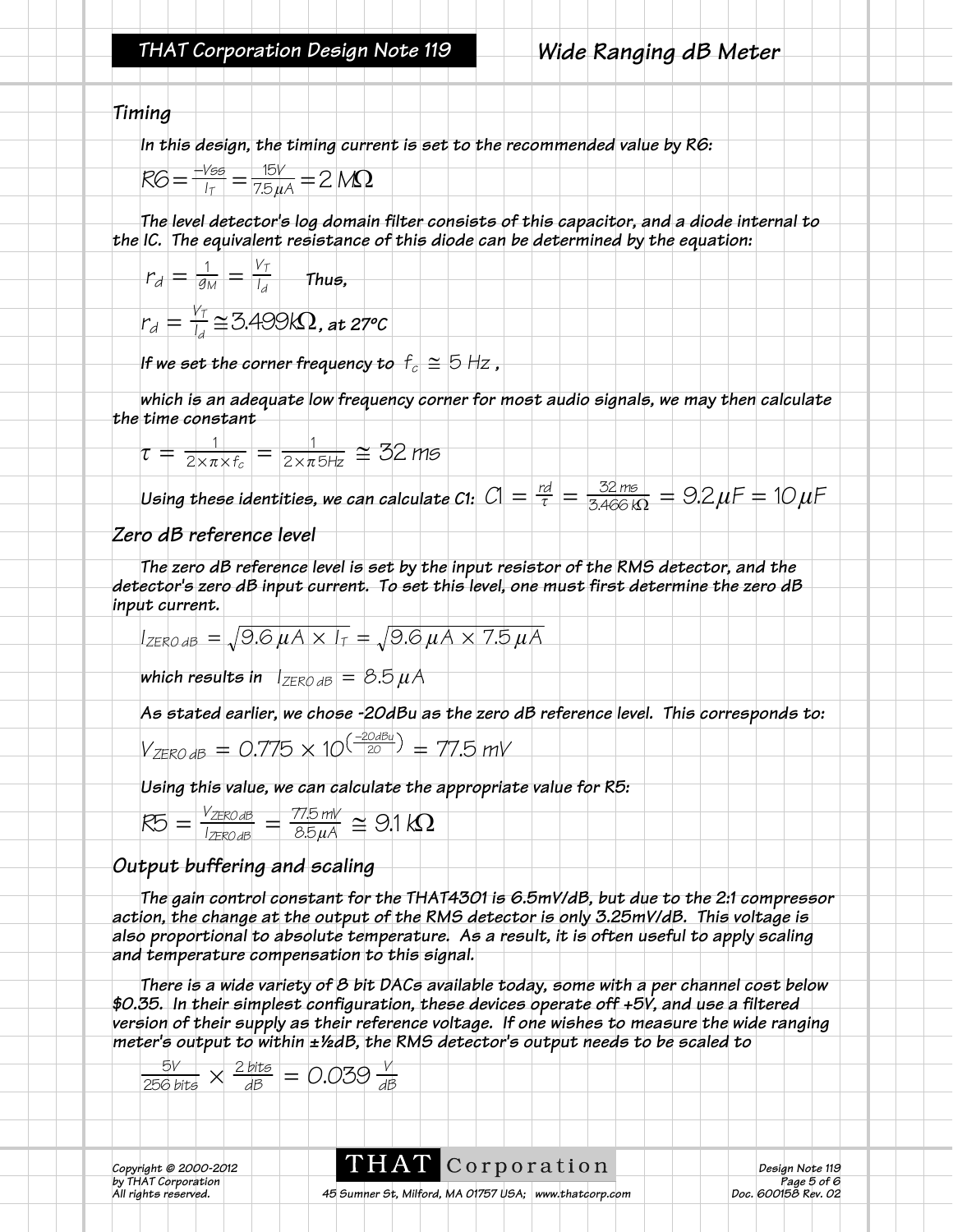*Timing*

*In this design, the timing current is set to the recommended value by R6:*

$$
RG = \frac{-\text{Yes}}{1_{\text{T}}} = \frac{15\text{V}}{7.5\,\mu\text{A}} = 2\,\text{M}\Omega
$$

*The level detector's log domain filter consists of this capacitor, and a diode internal to the IC. The equivalent resistance of this diode can be determined by the equation:*

$$
r_d = \frac{1}{g_M} = \frac{V_T}{I_d}
$$
 Thus,

$$
r_d = \frac{V_T}{l_d} \cong 3.499 k\Omega, \text{ at } 27^{\circ}C
$$

*If we set the corner frequency to*  $f_c \cong 5$  *Hz,* 

*which is an adequate low frequency corner for most audio signals, we may then calculate the time constant*

$$
\tau = \frac{1}{2 \times \pi \times f_c} = \frac{1}{2 \times \pi 5 \times Z} \approx 32 \text{ ms}
$$

*Using these identities, we can calculate C1:*  $C1 = \frac{rd}{\tau} = \frac{32 \text{ ms}}{3.466 \text{ k}\Omega} = 9.2 \mu F = 10 \mu F$ 

#### *Zero dB reference level*

*The zero dB reference level is set by the input resistor of the RMS detector, and the detector's zero dB input current. To set this level, one must first determine the zero dB input current.*

$$
I_{\text{ZERO dB}} = \sqrt{9.6 \,\mu A \times I_{\text{T}}} = \sqrt{9.6 \,\mu A \times 7.5 \,\mu A}
$$

*which results in*  $|_{ZERO dB}| = 8.5 \mu A$ 

*As stated earlier, we chose -20dBu as the zero dB reference level. This corresponds to:*

$$
V_{\text{ZERO dB}} = 0.775 \times 10^{\left(\frac{-20\text{dBu}}{20}\right)} = 77.5 \text{ mV}
$$

*Using this value, we can calculate the appropriate value for R5:*

| $\sigma$       | ROAB         | 77.5 mV | $\cong$ 9.1 kQ |  |
|----------------|--------------|---------|----------------|--|
| K <sup>r</sup> | <b>PO JR</b> | 35H     |                |  |

## *Output buffering and scaling*

*The gain control constant for the THAT4301 is 6.5mV/dB, but due to the 2:1 compressor action, the change at the output of the RMS detector is only 3.25mV/dB. This voltage is also proportional to absolute temperature. As a result, it is often useful to apply scaling and temperature compensation to this signal.*

*There is a wide variety of 8 bit DACs available today, some with a per channel cost below \$0.35. In their simplest configuration, these devices operate off +5V, and use a filtered version of their supply as their reference voltage. If one wishes to measure the wide ranging meter's output to within ±½dB, the RMS detector's output needs to be scaled to*

$$
\frac{5V}{256 \text{ bits}} \times \frac{2 \text{ bits}}{dB} = 0.039 \frac{V}{dB}
$$

*Copyright © 2000-2012*<br>*by THAT Corporation*<br>*All rights reserved.* 

**THAT** COPPOPATION<br> *COPPOPATION*<br> *Copyright Copyright Copyright Doc. 600158 Rev. 02*<br> *Doc. 600158 Rev. 02*